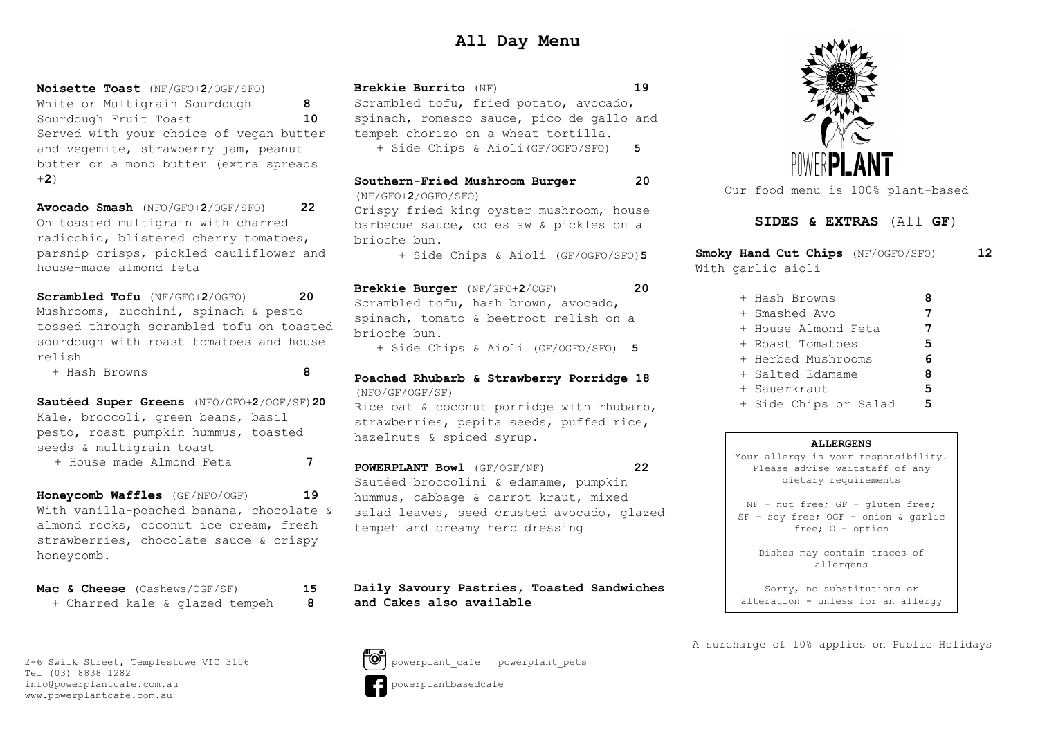# **All Day Menu**

**Noisette Toast** (NF/GFO+**2**/OGF/SFO) White or Multigrain Sourdough **8** Sourdough Fruit Toast **10** Served with your choice of vegan butter and vegemite, strawberry jam, peanut butter or almond butter (extra spreads +**2**)

**Avocado Smash** (NFO/GFO+**2**/OGF/SFO) **22** On toasted multigrain with charred radicchio, blistered cherry tomatoes, parsnip crisps, pickled cauliflower and house-made almond feta

**Scrambled Tofu** (NF/GFO+**2**/OGFO) **20** Mushrooms, zucchini, spinach & pesto tossed through scrambled tofu on toasted sourdough with roast tomatoes and house relish

+ Hash Browns **8**

**Sautéed Super Greens** (NFO/GFO+**2**/OGF/SF)**20**  Kale, broccoli, green beans, basil pesto, roast pumpkin hummus, toasted seeds & multigrain toast + House made Almond Feta **7**

**Honeycomb Waffles** (GF/NFO/OGF) **19** With vanilla-poached banana, chocolate & almond rocks, coconut ice cream, fresh strawberries, chocolate sauce & crispy honeycomb.

| Mac & Cheese $(Cashews/OGF/SF)$ |  |  | 15 |
|---------------------------------|--|--|----|
| + Charred kale & glazed tempeh  |  |  | 8  |

2-6 Swilk Street, Templestowe VIC 3106  $\Box$  powerplant cafe powerplant pets Tel (03) 8838 1282 info@powerplantcafe.com.au powerplantbasedcafe www.powerplantcafe.com.au

## **Brekkie Burrito** (NF) **19** Scrambled tofu, fried potato, avocado, spinach, romesco sauce, pico de gallo and tempeh chorizo on a wheat tortilla. + Side Chips & Aioli(GF/OGFO/SFO) **5**

**Southern-Fried Mushroom Burger 20**

(NF/GFO+**2**/OGFO/SFO)

Crispy fried king oyster mushroom, house barbecue sauce, coleslaw & pickles on a brioche bun.

+ Side Chips & Aioli (GF/OGFO/SFO)**5**

**Brekkie Burger** (NF/GFO+**2**/OGF) **20** Scrambled tofu, hash brown, avocado, spinach, tomato & beetroot relish on a brioche bun. + Side Chips & Aioli (GF/OGFO/SFO) **5**

**Poached Rhubarb & Strawberry Porridge 18** (NFO/GF/OGF/SF) Rice oat & coconut porridge with rhubarb, strawberries, pepita seeds, puffed rice, hazelnuts & spiced syrup.

**POWERPLANT Bowl** (GF/OGF/NF) **22** Sautéed broccolini & edamame, pumpkin hummus, cabbage & carrot kraut, mixed salad leaves, seed crusted avocado, glazed tempeh and creamy herb dressing

**Daily Savoury Pastries, Toasted Sandwiches and Cakes also available**







Our food menu is 100% plant-based

**SIDES & EXTRAS** (All **GF**)

**Smoky Hand Cut Chips** (NF/OGFO/SFO) **12** With garlic aioli

| + Hash Browns       |   |
|---------------------|---|
| + Smashed Avo       |   |
| + House Almond Feta | 7 |
| + Roast Tomatoes    | 5 |
| + Herbed Mushrooms  | 6 |
| + Salted Edamame    | ឧ |
| + Sauerkraut        | 5 |
|                     |   |

+ Side Chips or Salad **5**

### **ALLERGENS**

Your allergy is your responsibility. Please advise waitstaff of any dietary requirements

NF – nut free; GF – gluten free; SF – soy free; OGF – onion & garlic free; O – option

Dishes may contain traces of allergens

Sorry, no substitutions or alteration - unless for an allergy

A surcharge of 10% applies on Public Holidays